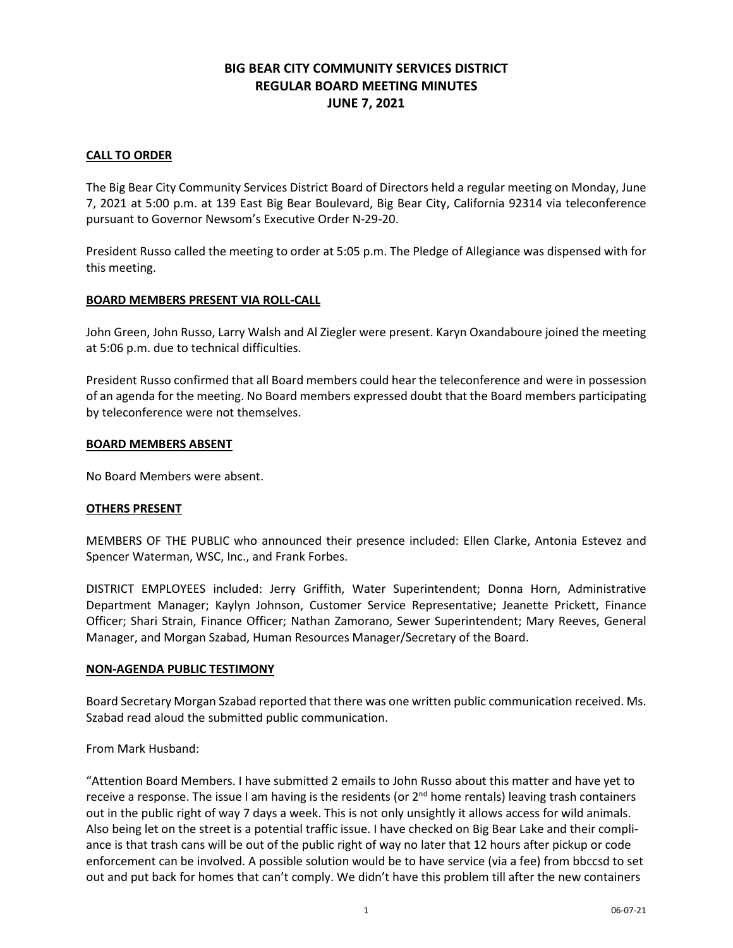# **BIG BEAR CITY COMMUNITY SERVICES DISTRICT REGULAR BOARD MEETING MINUTES JUNE 7, 2021**

# **CALL TO ORDER**

The Big Bear City Community Services District Board of Directors held a regular meeting on Monday, June 7, 2021 at 5:00 p.m. at 139 East Big Bear Boulevard, Big Bear City, California 92314 via teleconference pursuant to Governor Newsom's Executive Order N-29-20.

President Russo called the meeting to order at 5:05 p.m. The Pledge of Allegiance was dispensed with for this meeting.

### **BOARD MEMBERS PRESENT VIA ROLL-CALL**

John Green, John Russo, Larry Walsh and Al Ziegler were present. Karyn Oxandaboure joined the meeting at 5:06 p.m. due to technical difficulties.

President Russo confirmed that all Board members could hear the teleconference and were in possession of an agenda for the meeting. No Board members expressed doubt that the Board members participating by teleconference were not themselves.

### **BOARD MEMBERS ABSENT**

No Board Members were absent.

### **OTHERS PRESENT**

MEMBERS OF THE PUBLIC who announced their presence included: Ellen Clarke, Antonia Estevez and Spencer Waterman, WSC, Inc., and Frank Forbes.

DISTRICT EMPLOYEES included: Jerry Griffith, Water Superintendent; Donna Horn, Administrative Department Manager; Kaylyn Johnson, Customer Service Representative; Jeanette Prickett, Finance Officer; Shari Strain, Finance Officer; Nathan Zamorano, Sewer Superintendent; Mary Reeves, General Manager, and Morgan Szabad, Human Resources Manager/Secretary of the Board.

### **NON-AGENDA PUBLIC TESTIMONY**

Board Secretary Morgan Szabad reported that there was one written public communication received. Ms. Szabad read aloud the submitted public communication.

From Mark Husband:

"Attention Board Members. I have submitted 2 emails to John Russo about this matter and have yet to receive a response. The issue I am having is the residents (or  $2<sup>nd</sup>$  home rentals) leaving trash containers out in the public right of way 7 days a week. This is not only unsightly it allows access for wild animals. Also being let on the street is a potential traffic issue. I have checked on Big Bear Lake and their compliance is that trash cans will be out of the public right of way no later that 12 hours after pickup or code enforcement can be involved. A possible solution would be to have service (via a fee) from bbccsd to set out and put back for homes that can't comply. We didn't have this problem till after the new containers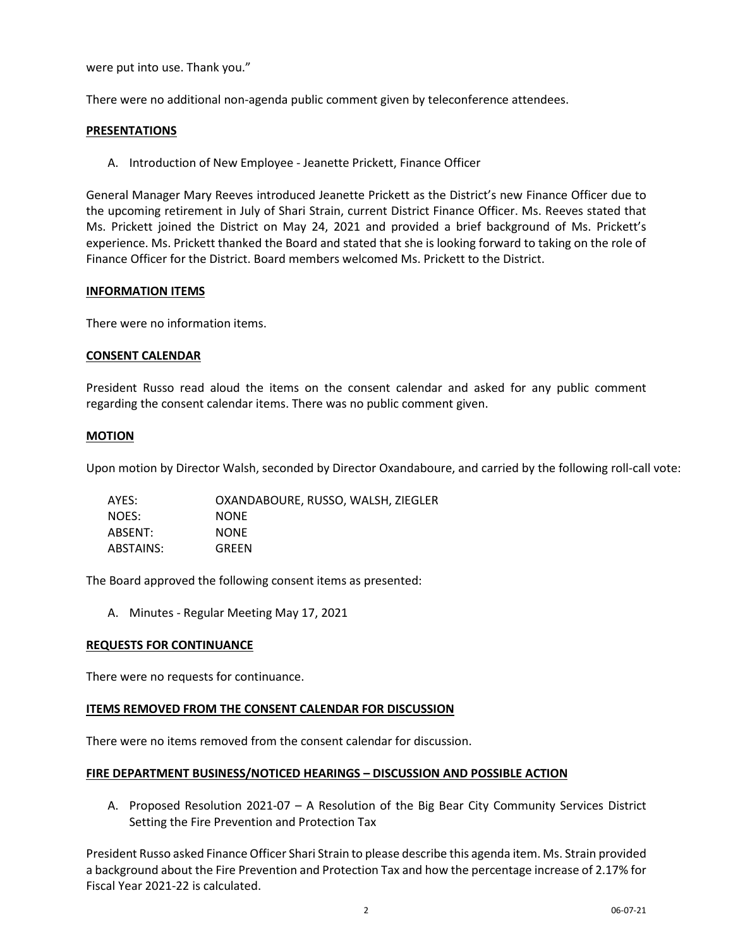were put into use. Thank you."

There were no additional non-agenda public comment given by teleconference attendees.

### **PRESENTATIONS**

A. Introduction of New Employee - Jeanette Prickett, Finance Officer

General Manager Mary Reeves introduced Jeanette Prickett as the District's new Finance Officer due to the upcoming retirement in July of Shari Strain, current District Finance Officer. Ms. Reeves stated that Ms. Prickett joined the District on May 24, 2021 and provided a brief background of Ms. Prickett's experience. Ms. Prickett thanked the Board and stated that she is looking forward to taking on the role of Finance Officer for the District. Board members welcomed Ms. Prickett to the District.

### **INFORMATION ITEMS**

There were no information items.

# **CONSENT CALENDAR**

President Russo read aloud the items on the consent calendar and asked for any public comment regarding the consent calendar items. There was no public comment given.

# **MOTION**

Upon motion by Director Walsh, seconded by Director Oxandaboure, and carried by the following roll-call vote:

| AYES:     | OXANDABOURE, RUSSO, WALSH, ZIEGLER |
|-----------|------------------------------------|
| NOES:     | <b>NONE</b>                        |
| ABSENT:   | <b>NONE</b>                        |
| ABSTAINS: | <b>GREEN</b>                       |

The Board approved the following consent items as presented:

A. Minutes - Regular Meeting May 17, 2021

### **REQUESTS FOR CONTINUANCE**

There were no requests for continuance.

### **ITEMS REMOVED FROM THE CONSENT CALENDAR FOR DISCUSSION**

There were no items removed from the consent calendar for discussion.

### **FIRE DEPARTMENT BUSINESS/NOTICED HEARINGS – DISCUSSION AND POSSIBLE ACTION**

A. Proposed Resolution 2021-07 – A Resolution of the Big Bear City Community Services District Setting the Fire Prevention and Protection Tax

President Russo asked Finance Officer Shari Strain to please describe this agenda item. Ms. Strain provided a background about the Fire Prevention and Protection Tax and how the percentage increase of 2.17% for Fiscal Year 2021-22 is calculated.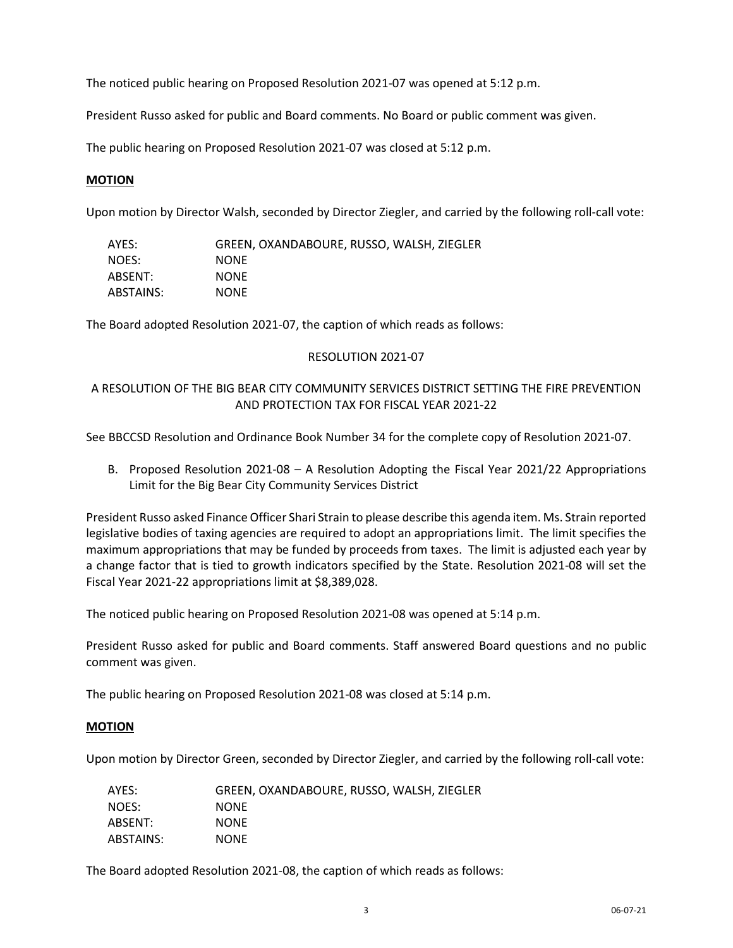The noticed public hearing on Proposed Resolution 2021-07 was opened at 5:12 p.m.

President Russo asked for public and Board comments. No Board or public comment was given.

The public hearing on Proposed Resolution 2021-07 was closed at 5:12 p.m.

# **MOTION**

Upon motion by Director Walsh, seconded by Director Ziegler, and carried by the following roll-call vote:

| AYES:     | GREEN, OXANDABOURE, RUSSO, WALSH, ZIEGLER |
|-----------|-------------------------------------------|
| NOES:     | <b>NONE</b>                               |
| ABSENT:   | <b>NONE</b>                               |
| ABSTAINS: | <b>NONE</b>                               |

The Board adopted Resolution 2021-07, the caption of which reads as follows:

# RESOLUTION 2021-07

# A RESOLUTION OF THE BIG BEAR CITY COMMUNITY SERVICES DISTRICT SETTING THE FIRE PREVENTION AND PROTECTION TAX FOR FISCAL YEAR 2021-22

See BBCCSD Resolution and Ordinance Book Number 34 for the complete copy of Resolution 2021-07.

B. Proposed Resolution 2021-08 – A Resolution Adopting the Fiscal Year 2021/22 Appropriations Limit for the Big Bear City Community Services District

President Russo asked Finance Officer Shari Strain to please describe this agenda item. Ms. Strain reported legislative bodies of taxing agencies are required to adopt an appropriations limit. The limit specifies the maximum appropriations that may be funded by proceeds from taxes. The limit is adjusted each year by a change factor that is tied to growth indicators specified by the State. Resolution 2021-08 will set the Fiscal Year 2021-22 appropriations limit at \$8,389,028.

The noticed public hearing on Proposed Resolution 2021-08 was opened at 5:14 p.m.

President Russo asked for public and Board comments. Staff answered Board questions and no public comment was given.

The public hearing on Proposed Resolution 2021-08 was closed at 5:14 p.m.

### **MOTION**

Upon motion by Director Green, seconded by Director Ziegler, and carried by the following roll-call vote:

| AYES:     | GREEN, OXANDABOURE, RUSSO, WALSH, ZIEGLER |
|-----------|-------------------------------------------|
| NOES:     | <b>NONE</b>                               |
| ABSENT:   | <b>NONE</b>                               |
| ABSTAINS: | <b>NONE</b>                               |

The Board adopted Resolution 2021-08, the caption of which reads as follows: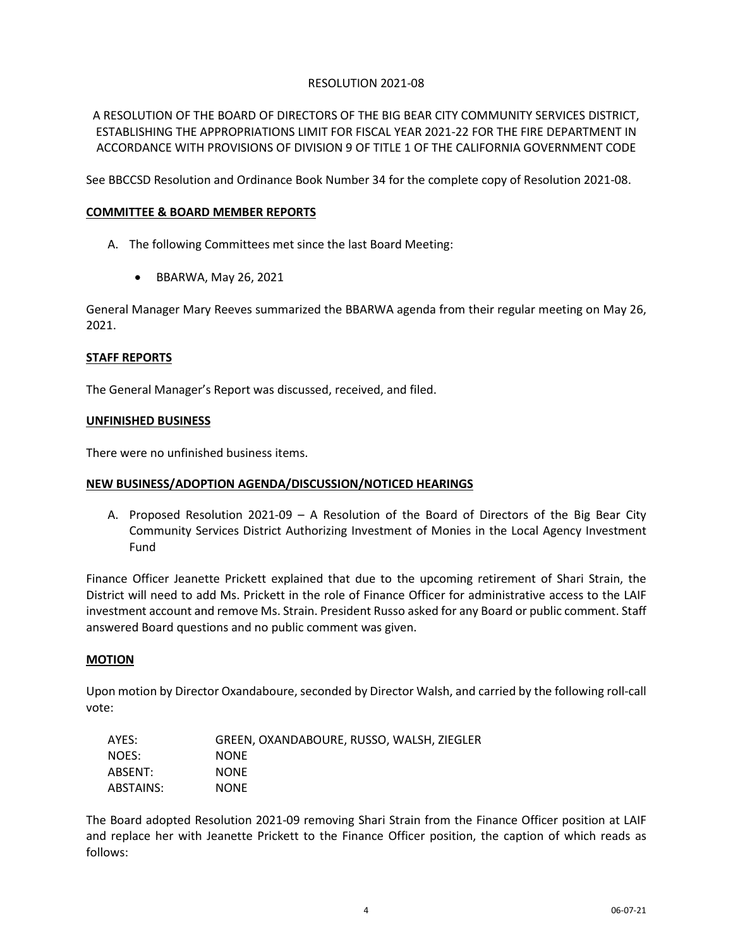# RESOLUTION 2021-08

A RESOLUTION OF THE BOARD OF DIRECTORS OF THE BIG BEAR CITY COMMUNITY SERVICES DISTRICT, ESTABLISHING THE APPROPRIATIONS LIMIT FOR FISCAL YEAR 2021-22 FOR THE FIRE DEPARTMENT IN ACCORDANCE WITH PROVISIONS OF DIVISION 9 OF TITLE 1 OF THE CALIFORNIA GOVERNMENT CODE

See BBCCSD Resolution and Ordinance Book Number 34 for the complete copy of Resolution 2021-08.

# **COMMITTEE & BOARD MEMBER REPORTS**

- A. The following Committees met since the last Board Meeting:
	- BBARWA, May 26, 2021

General Manager Mary Reeves summarized the BBARWA agenda from their regular meeting on May 26, 2021.

### **STAFF REPORTS**

The General Manager's Report was discussed, received, and filed.

#### **UNFINISHED BUSINESS**

There were no unfinished business items.

# **NEW BUSINESS/ADOPTION AGENDA/DISCUSSION/NOTICED HEARINGS**

A. Proposed Resolution 2021-09 – A Resolution of the Board of Directors of the Big Bear City Community Services District Authorizing Investment of Monies in the Local Agency Investment Fund

Finance Officer Jeanette Prickett explained that due to the upcoming retirement of Shari Strain, the District will need to add Ms. Prickett in the role of Finance Officer for administrative access to the LAIF investment account and remove Ms. Strain. President Russo asked for any Board or public comment. Staff answered Board questions and no public comment was given.

### **MOTION**

Upon motion by Director Oxandaboure, seconded by Director Walsh, and carried by the following roll-call vote:

| AYES:     | GREEN, OXANDABOURE, RUSSO, WALSH, ZIEGLER |
|-----------|-------------------------------------------|
| NOES:     | <b>NONE</b>                               |
| ABSENT:   | <b>NONE</b>                               |
| ABSTAINS: | <b>NONE</b>                               |

The Board adopted Resolution 2021-09 removing Shari Strain from the Finance Officer position at LAIF and replace her with Jeanette Prickett to the Finance Officer position, the caption of which reads as follows: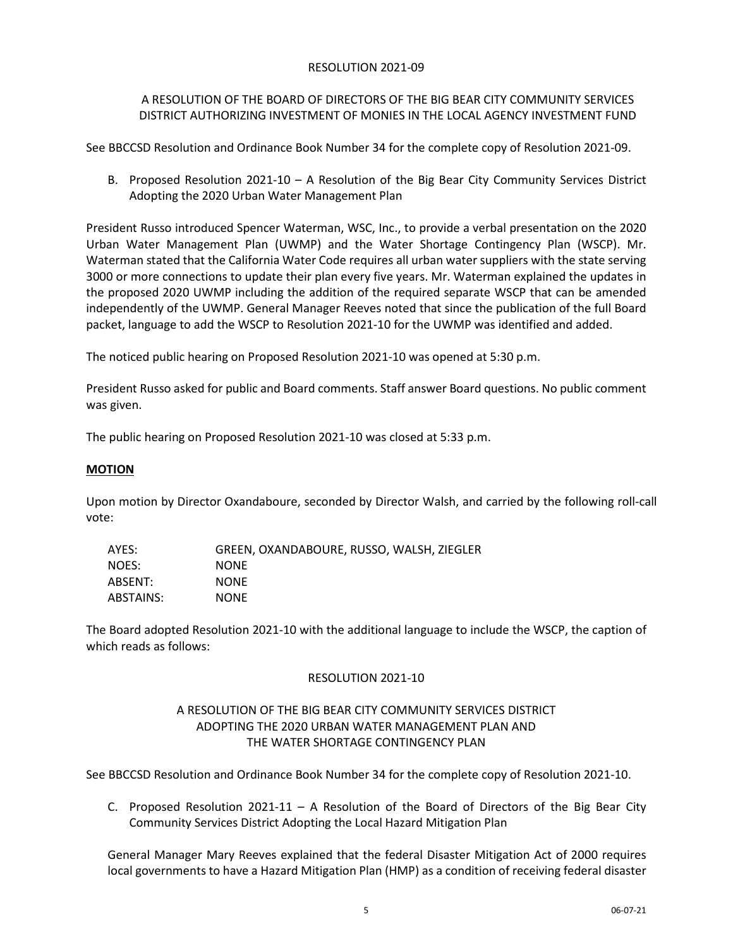# RESOLUTION 2021-09

# A RESOLUTION OF THE BOARD OF DIRECTORS OF THE BIG BEAR CITY COMMUNITY SERVICES DISTRICT AUTHORIZING INVESTMENT OF MONIES IN THE LOCAL AGENCY INVESTMENT FUND

See BBCCSD Resolution and Ordinance Book Number 34 for the complete copy of Resolution 2021-09.

B. Proposed Resolution 2021-10 – A Resolution of the Big Bear City Community Services District Adopting the 2020 Urban Water Management Plan

President Russo introduced Spencer Waterman, WSC, Inc., to provide a verbal presentation on the 2020 Urban Water Management Plan (UWMP) and the Water Shortage Contingency Plan (WSCP). Mr. Waterman stated that the California Water Code requires all urban water suppliers with the state serving 3000 or more connections to update their plan every five years. Mr. Waterman explained the updates in the proposed 2020 UWMP including the addition of the required separate WSCP that can be amended independently of the UWMP. General Manager Reeves noted that since the publication of the full Board packet, language to add the WSCP to Resolution 2021-10 for the UWMP was identified and added.

The noticed public hearing on Proposed Resolution 2021-10 was opened at 5:30 p.m.

President Russo asked for public and Board comments. Staff answer Board questions. No public comment was given.

The public hearing on Proposed Resolution 2021-10 was closed at 5:33 p.m.

# **MOTION**

Upon motion by Director Oxandaboure, seconded by Director Walsh, and carried by the following roll-call vote:

| AYES:     | GREEN, OXANDABOURE, RUSSO, WALSH, ZIEGLER |
|-----------|-------------------------------------------|
| NOES:     | <b>NONE</b>                               |
| ABSENT:   | <b>NONE</b>                               |
| ABSTAINS: | <b>NONE</b>                               |

The Board adopted Resolution 2021-10 with the additional language to include the WSCP, the caption of which reads as follows:

# RESOLUTION 2021-10

# A RESOLUTION OF THE BIG BEAR CITY COMMUNITY SERVICES DISTRICT ADOPTING THE 2020 URBAN WATER MANAGEMENT PLAN AND THE WATER SHORTAGE CONTINGENCY PLAN

See BBCCSD Resolution and Ordinance Book Number 34 for the complete copy of Resolution 2021-10.

C. Proposed Resolution 2021-11 – A Resolution of the Board of Directors of the Big Bear City Community Services District Adopting the Local Hazard Mitigation Plan

General Manager Mary Reeves explained that the federal Disaster Mitigation Act of 2000 requires local governments to have a Hazard Mitigation Plan (HMP) as a condition of receiving federal disaster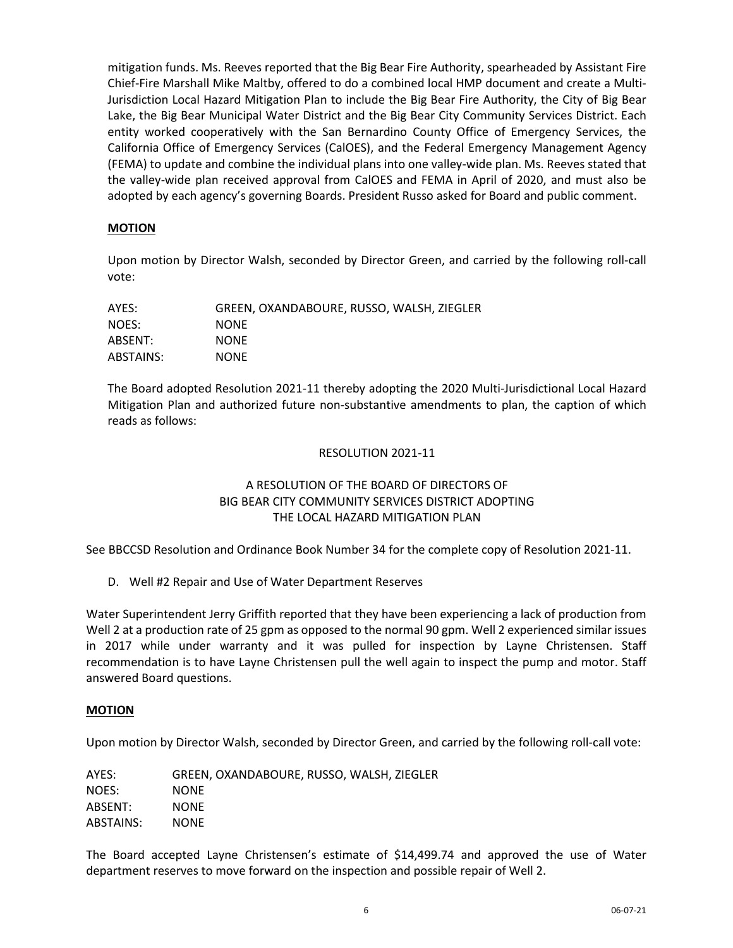mitigation funds. Ms. Reeves reported that the Big Bear Fire Authority, spearheaded by Assistant Fire Chief-Fire Marshall Mike Maltby, offered to do a combined local HMP document and create a Multi-Jurisdiction Local Hazard Mitigation Plan to include the Big Bear Fire Authority, the City of Big Bear Lake, the Big Bear Municipal Water District and the Big Bear City Community Services District. Each entity worked cooperatively with the San Bernardino County Office of Emergency Services, the California Office of Emergency Services (CalOES), and the Federal Emergency Management Agency (FEMA) to update and combine the individual plans into one valley-wide plan. Ms. Reeves stated that the valley-wide plan received approval from CalOES and FEMA in April of 2020, and must also be adopted by each agency's governing Boards. President Russo asked for Board and public comment.

# **MOTION**

Upon motion by Director Walsh, seconded by Director Green, and carried by the following roll-call vote:

| AYES:     | GREEN, OXANDABOURE, RUSSO, WALSH, ZIEGLER |
|-----------|-------------------------------------------|
| NOES:     | <b>NONE</b>                               |
| ABSENT:   | <b>NONE</b>                               |
| ABSTAINS: | <b>NONE</b>                               |

The Board adopted Resolution 2021-11 thereby adopting the 2020 Multi-Jurisdictional Local Hazard Mitigation Plan and authorized future non-substantive amendments to plan, the caption of which reads as follows:

# RESOLUTION 2021-11

# A RESOLUTION OF THE BOARD OF DIRECTORS OF BIG BEAR CITY COMMUNITY SERVICES DISTRICT ADOPTING THE LOCAL HAZARD MITIGATION PLAN

See BBCCSD Resolution and Ordinance Book Number 34 for the complete copy of Resolution 2021-11.

D. Well #2 Repair and Use of Water Department Reserves

Water Superintendent Jerry Griffith reported that they have been experiencing a lack of production from Well 2 at a production rate of 25 gpm as opposed to the normal 90 gpm. Well 2 experienced similar issues in 2017 while under warranty and it was pulled for inspection by Layne Christensen. Staff recommendation is to have Layne Christensen pull the well again to inspect the pump and motor. Staff answered Board questions.

# **MOTION**

Upon motion by Director Walsh, seconded by Director Green, and carried by the following roll-call vote:

| AYES:     | GREEN, OXANDABOURE, RUSSO, WALSH, ZIEGLER |
|-----------|-------------------------------------------|
| NOES:     | <b>NONE</b>                               |
| ABSENT:   | <b>NONE</b>                               |
| ABSTAINS: | <b>NONE</b>                               |

The Board accepted Layne Christensen's estimate of \$14,499.74 and approved the use of Water department reserves to move forward on the inspection and possible repair of Well 2.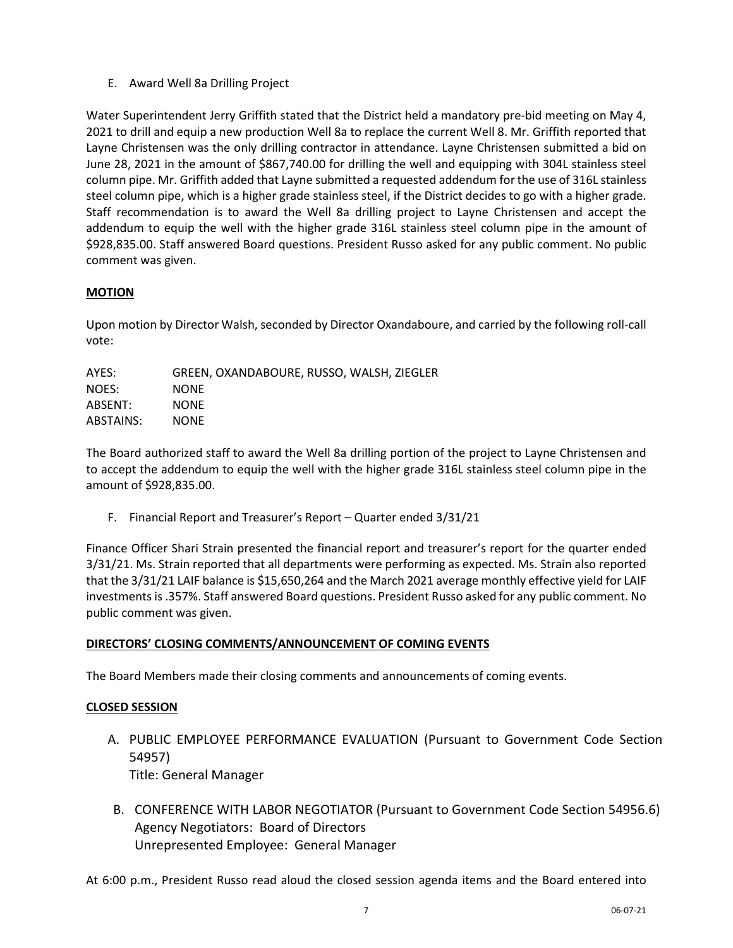E. Award Well 8a Drilling Project

Water Superintendent Jerry Griffith stated that the District held a mandatory pre-bid meeting on May 4, 2021 to drill and equip a new production Well 8a to replace the current Well 8. Mr. Griffith reported that Layne Christensen was the only drilling contractor in attendance. Layne Christensen submitted a bid on June 28, 2021 in the amount of \$867,740.00 for drilling the well and equipping with 304L stainless steel column pipe. Mr. Griffith added that Layne submitted a requested addendum for the use of 316L stainless steel column pipe, which is a higher grade stainless steel, if the District decides to go with a higher grade. Staff recommendation is to award the Well 8a drilling project to Layne Christensen and accept the addendum to equip the well with the higher grade 316L stainless steel column pipe in the amount of \$928,835.00. Staff answered Board questions. President Russo asked for any public comment. No public comment was given.

# **MOTION**

Upon motion by Director Walsh, seconded by Director Oxandaboure, and carried by the following roll-call vote:

| GREEN, OXANDABOURE, RUSSO, WALSH, ZIEGLER |
|-------------------------------------------|
| <b>NONE</b>                               |
| <b>NONE</b>                               |
| <b>NONE</b>                               |
|                                           |

The Board authorized staff to award the Well 8a drilling portion of the project to Layne Christensen and to accept the addendum to equip the well with the higher grade 316L stainless steel column pipe in the amount of \$928,835.00.

F. Financial Report and Treasurer's Report – Quarter ended 3/31/21

Finance Officer Shari Strain presented the financial report and treasurer's report for the quarter ended 3/31/21. Ms. Strain reported that all departments were performing as expected. Ms. Strain also reported that the 3/31/21 LAIF balance is \$15,650,264 and the March 2021 average monthly effective yield for LAIF investments is .357%. Staff answered Board questions. President Russo asked for any public comment. No public comment was given.

# **DIRECTORS' CLOSING COMMENTS/ANNOUNCEMENT OF COMING EVENTS**

The Board Members made their closing comments and announcements of coming events.

# **CLOSED SESSION**

- A. PUBLIC EMPLOYEE PERFORMANCE EVALUATION (Pursuant to Government Code Section 54957) Title: General Manager
- B. CONFERENCE WITH LABOR NEGOTIATOR (Pursuant to Government Code Section 54956.6) Agency Negotiators: Board of Directors Unrepresented Employee: General Manager

At 6:00 p.m., President Russo read aloud the closed session agenda items and the Board entered into